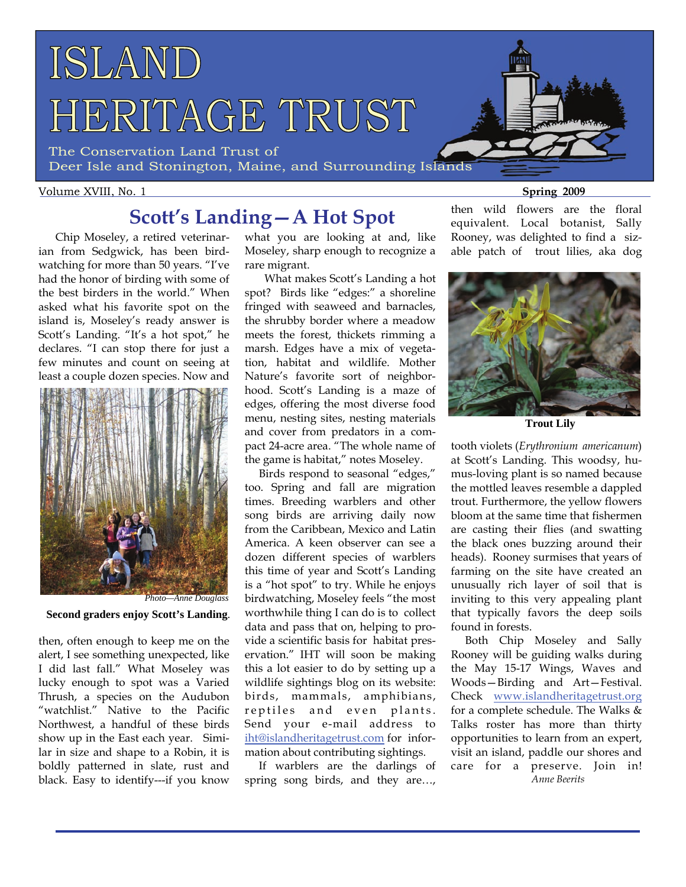

The Conservation Land Trust of Deer Isle and Stonington, Maine, and Surrounding Islands

#### Volume XVIII, No. 1 **Spring 2009 Spring 2009**

# **Scott's Landing—A Hot Spot**

 Chip Moseley, a retired veterinarian from Sedgwick, has been birdwatching for more than 50 years. "I've had the honor of birding with some of the best birders in the world." When asked what his favorite spot on the island is, Moseley's ready answer is Scott's Landing. "It's a hot spot," he declares. "I can stop there for just a few minutes and count on seeing at least a couple dozen species. Now and



 **Second graders enjoy Scott's Landing**.

then, often enough to keep me on the alert, I see something unexpected, like I did last fall." What Moseley was lucky enough to spot was a Varied Thrush, a species on the Audubon "watchlist." Native to the Pacific Northwest, a handful of these birds show up in the East each year. Similar in size and shape to a Robin, it is boldly patterned in slate, rust and black. Easy to identify---if you know

what you are looking at and, like Moseley, sharp enough to recognize a rare migrant.

 What makes Scott's Landing a hot spot? Birds like "edges:" a shoreline fringed with seaweed and barnacles, the shrubby border where a meadow meets the forest, thickets rimming a marsh. Edges have a mix of vegetation, habitat and wildlife. Mother Nature's favorite sort of neighborhood. Scott's Landing is a maze of edges, offering the most diverse food menu, nesting sites, nesting materials and cover from predators in a compact 24-acre area. "The whole name of the game is habitat," notes Moseley.

 Birds respond to seasonal "edges," too. Spring and fall are migration times. Breeding warblers and other song birds are arriving daily now from the Caribbean, Mexico and Latin America. A keen observer can see a dozen different species of warblers this time of year and Scott's Landing is a "hot spot" to try. While he enjoys birdwatching, Moseley feels "the most worthwhile thing I can do is to collect data and pass that on, helping to provide a scientific basis for habitat preservation." IHT will soon be making this a lot easier to do by setting up a wildlife sightings blog on its website: birds, mammals, amphibians, reptiles and even plants. Send your e-mail address to [iht@islandheritagetrust.com](mailto:mlittle@islandheritagetrust.com) for information about contributing sightings.

 If warblers are the darlings of spring song birds, and they are…,

then wild flowers are the floral equivalent. Local botanist, Sally Rooney, was delighted to find a sizable patch of trout lilies, aka dog



 **Trout Lily** 

tooth violets (*Erythronium americanum*) at Scott's Landing. This woodsy, humus-loving plant is so named because the mottled leaves resemble a dappled trout. Furthermore, the yellow flowers bloom at the same time that fishermen are casting their flies (and swatting the black ones buzzing around their heads). Rooney surmises that years of farming on the site have created an unusually rich layer of soil that is inviting to this very appealing plant that typically favors the deep soils found in forests.

 Both Chip Moseley and Sally Rooney will be guiding walks during the May 15-17 Wings, Waves and Woods—Birding and Art—Festival. Check [www.islandheritagetrust.org](http://www.islandheritagetrust.org) for a complete schedule. The Walks & Talks roster has more than thirty opportunities to learn from an expert, visit an island, paddle our shores and care for a preserve. Join in! *Anne Beerits*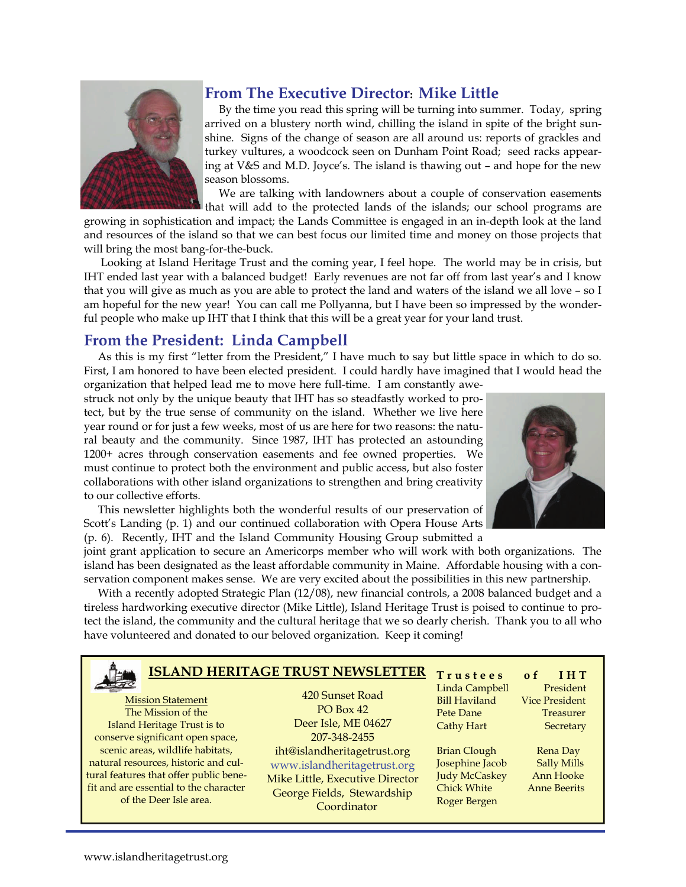

## **From The Executive Director: Mike Little**

 arrived on a blustery north wind, chilling the island in spite of the bright sun- shine. Signs of the change of season are all around us: reports of grackles and turkey vultures, a woodcock seen on Dunham Point Road; seed racks appearnig at vees and iv<br>season blossoms. By the time you read this spring will be turning into summer. Today, spring ing at V&S and M.D. Joyce's. The island is thawing out – and hope for the new

 We are talking with landowners about a couple of conservation easements that will add to the protected lands of the islands; our school programs are

 growing in sophistication and impact; the Lands Committee is engaged in an in-depth look at the land and resources of the island so that we can best focus our limited time and money on those projects that will bring the most bang-for-the-buck.

 Looking at Island Heritage Trust and the coming year, I feel hope. The world may be in crisis, but IHT ended last year with a balanced budget! Early revenues are not far off from last year's and I know that you will give as much as you are able to protect the land and waters of the island we all love – so I am hopeful for the new year! You can call me Pollyanna, but I have been so impressed by the wonderful people who make up IHT that I think that this will be a great year for your land trust.

## **From the President: Linda Campbell**

 As this is my first "letter from the President," I have much to say but little space in which to do so. First, I am honored to have been elected president. I could hardly have imagined that I would head the organization that helped lead me to move here full-time. I am constantly awe-

struck not only by the unique beauty that IHT has so steadfastly worked to protect, but by the true sense of community on the island. Whether we live here year round or for just a few weeks, most of us are here for two reasons: the natural beauty and the community. Since 1987, IHT has protected an astounding 1200+ acres through conservation easements and fee owned properties. We must continue to protect both the environment and public access, but also foster collaborations with other island organizations to strengthen and bring creativity to our collective efforts.

 This newsletter highlights both the wonderful results of our preservation of Scott's Landing (p. 1) and our continued collaboration with Opera House Arts (p. 6). Recently, IHT and the Island Community Housing Group submitted a



joint grant application to secure an Americorps member who will work with both organizations. The island has been designated as the least affordable community in Maine. Affordable housing with a conservation component makes sense. We are very excited about the possibilities in this new partnership.

 With a recently adopted Strategic Plan (12/08), new financial controls, a 2008 balanced budget and a tireless hardworking executive director (Mike Little), Island Heritage Trust is poised to continue to protect the island, the community and the cultural heritage that we so dearly cherish. Thank you to all who have volunteered and donated to our beloved organization. Keep it coming!

## **ISLAND HERITAGE TRUST NEWSLETTER** Trustees of IHT

 tural features that offer public bene- fit and are essential to the character Mission Statement The Mission of the Island Heritage Trust is to conserve significant open space, scenic areas, wildlife habitats, natural resources, historic and culof the Deer Isle area.

i<br>I

 $\overline{a}$ 

420 Sunset Road PO Box 42 Deer Isle, ME 04627 207-348-2455 iht@islandheritagetrust.org www.islandheritagetrust.org Mike Little, Executive Director George Fields, Stewardship Coordinator

Linda Campbell President Bill Haviland Vice President Pete Dane Treasurer Cathy Hart Secretary

Brian Clough Rena Day Josephine Jacob Sally Mills Judy McCaskey Ann Hooke Chick White Anne Beerits Roger Bergen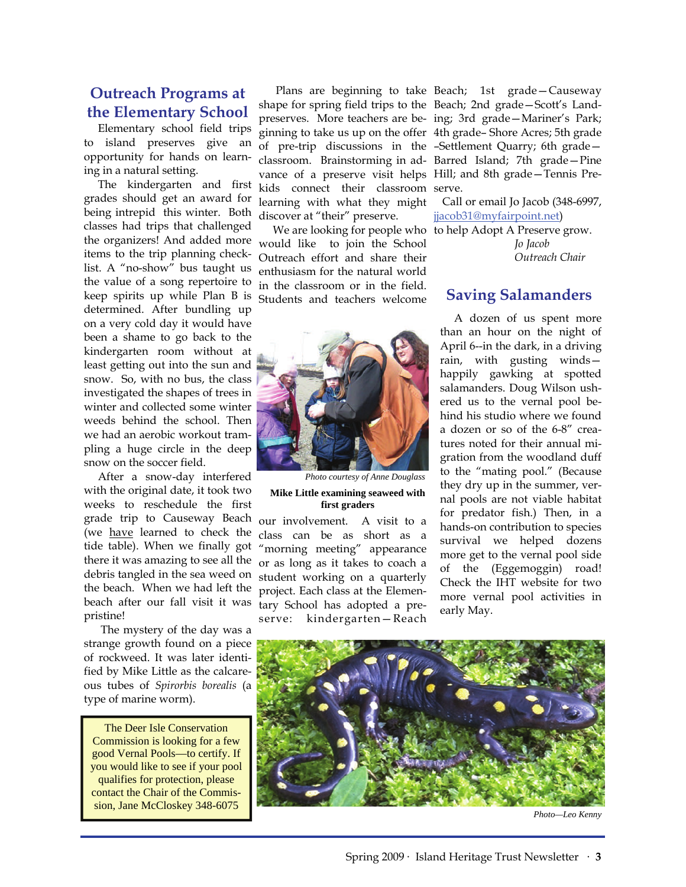## **Outreach Programs at the Elementary School**

 Elementary school field trips to island preserves give an opportunity for hands on learning in a natural setting.

 The kindergarten and first grades should get an award for being intrepid this winter. Both classes had trips that challenged the organizers! And added more items to the trip planning checklist. A "no-show" bus taught us the value of a song repertoire to keep spirits up while Plan B is determined. After bundling up on a very cold day it would have been a shame to go back to the kindergarten room without at least getting out into the sun and snow. So, with no bus, the class investigated the shapes of trees in winter and collected some winter weeds behind the school. Then we had an aerobic workout trampling a huge circle in the deep snow on the soccer field.

 After a snow-day interfered with the original date, it took two weeks to reschedule the first grade trip to Causeway Beach (we have learned to check the tide table). When we finally got there it was amazing to see all the debris tangled in the sea weed on the beach. When we had left the beach after our fall visit it was pristine!

 The mystery of the day was a strange growth found on a piece of rockweed. It was later identified by Mike Little as the calcareous tubes of *Spirorbis borealis* (a type of marine worm).

The Deer Isle Conservation Commission is looking for a few good Vernal Pools—to certify. If you would like to see if your pool qualifies for protection, please contact the Chair of the Commission, Jane McCloskey 348-6075

 Plans are beginning to take Beach; 1st grade—Causeway shape for spring field trips to the Beach; 2nd grade—Scott's Landpreserves. More teachers are be-ing; 3rd grade—Mariner's Park; ginning to take us up on the offer 4th grade– Shore Acres; 5th grade of pre-trip discussions in the –Settlement Quarry; 6th grade classroom. Brainstorming in ad-Barred Island; 7th grade—Pine vance of a preserve visit helps Hill; and 8th grade—Tennis Prekids connect their classroom serve. learning with what they might discover at "their" preserve.

 We are looking for people who to help Adopt A Preserve grow. would like to join the School Outreach effort and share their enthusiasm for the natural world in the classroom or in the field. Students and teachers welcome



*Photo courtesy of Anne Douglass*  **Mike Little examining seaweed with first graders** 

our involvement. A visit to a class can be as short as a "morning meeting" appearance or as long as it takes to coach a student working on a quarterly project. Each class at the Elementary School has adopted a preserve: kindergarten—Reach

 Call or email Jo Jacob (348-6997, [jjacob31@myfairpoint.net](mailto:jjacob31@myfairpoint.net))

 *Jo Jacob Outreach Chair* 

## **Saving Salamanders**

 A dozen of us spent more than an hour on the night of April 6--in the dark, in a driving rain, with gusting winds happily gawking at spotted salamanders. Doug Wilson ushered us to the vernal pool behind his studio where we found a dozen or so of the 6-8" creatures noted for their annual migration from the woodland duff to the "mating pool." (Because they dry up in the summer, vernal pools are not viable habitat for predator fish.) Then, in a hands-on contribution to species survival we helped dozens more get to the vernal pool side of the (Eggemoggin) road! Check the IHT website for two more vernal pool activities in early May.



*Photo—Leo Kenny*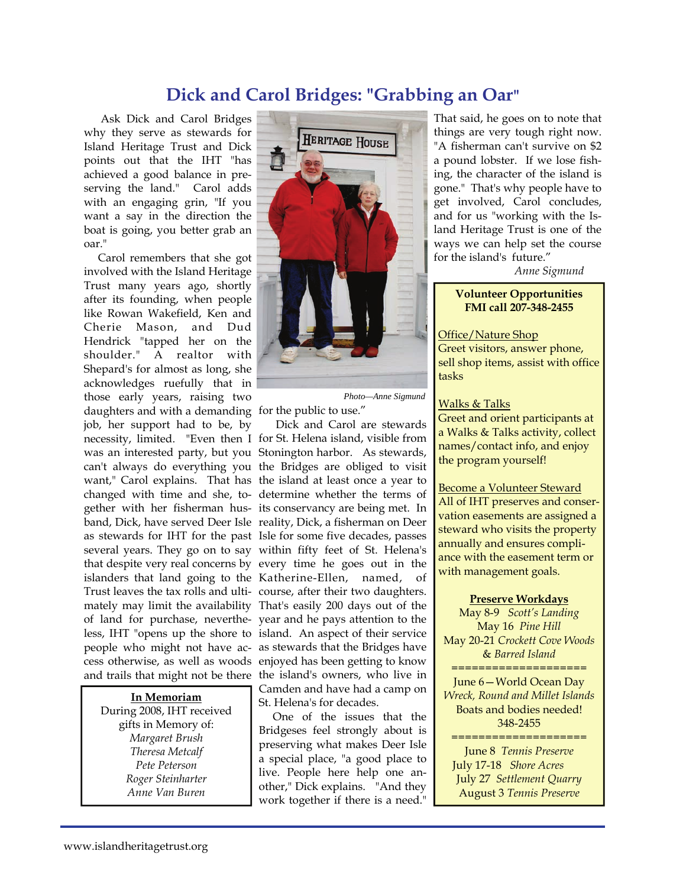## **Dick and Carol Bridges: "Grabbing an Oar"**

 Ask Dick and Carol Bridges why they serve as stewards for Island Heritage Trust and Dick points out that the IHT "has achieved a good balance in preserving the land." Carol adds with an engaging grin, "If you want a say in the direction the boat is going, you better grab an oar."

 Carol remembers that she got involved with the Island Heritage Trust many years ago, shortly after its founding, when people like Rowan Wakefield, Ken and Cherie Mason, and Dud Hendrick "tapped her on the shoulder." A realtor with Shepard's for almost as long, she acknowledges ruefully that in those early years, raising two daughters and with a demanding for the public to use." job, her support had to be, by necessity, limited. "Even then I for St. Helena island, visible from was an interested party, but you Stonington harbor. As stewards, can't always do everything you the Bridges are obliged to visit want," Carol explains. That has the island at least once a year to changed with time and she, to-determine whether the terms of gether with her fisherman hus-its conservancy are being met. In band, Dick, have served Deer Isle reality, Dick, a fisherman on Deer as stewards for IHT for the past Isle for some five decades, passes several years. They go on to say within fifty feet of St. Helena's that despite very real concerns by every time he goes out in the islanders that land going to the Katherine-Ellen, named, of Trust leaves the tax rolls and ulti-course, after their two daughters. mately may limit the availability That's easily 200 days out of the of land for purchase, neverthe-year and he pays attention to the less, IHT "opens up the shore to island. An aspect of their service people who might not have ac-as stewards that the Bridges have cess otherwise, as well as woods enjoyed has been getting to know

**In Memoriam**

During 2008, IHT received gifts in Memory of: *Margaret Brush Theresa Metcalf Pete Peterson Roger Steinharter Anne Van Buren* 



*Photo—Anne Sigmund* 

and trails that might not be there the island's owners, who live in Dick and Carol are stewards Camden and have had a camp on St. Helena's for decades.

 One of the issues that the Bridgeses feel strongly about is preserving what makes Deer Isle a special place, "a good place to live. People here help one another," Dick explains. "And they work together if there is a need."

That said, he goes on to note that things are very tough right now. "A fisherman can't survive on \$2 a pound lobster. If we lose fishing, the character of the island is gone." That's why people have to get involved, Carol concludes, and for us "working with the Island Heritage Trust is one of the ways we can help set the course for the island's future."

*Anne Sigmund* 

#### **Volunteer Opportunities FMI call 207-348-2455**

Office/Nature Shop Greet visitors, answer phone, sell shop items, assist with office tasks

#### Walks & Talks

Greet and orient participants at a Walks & Talks activity, collect names/contact info, and enjoy the program yourself!

Become a Volunteer Steward All of IHT preserves and conservation easements are assigned a steward who visits the property annually and ensures compliance with the easement term or with management goals.

#### **Preserve Workdays**

May 8-9 *Scott's Landing*  May 16 *Pine Hill*  May 20-21 *Crockett Cove Woods*  & *Barred Island* 

====================

June 6—World Ocean Day *Wreck, Round and Millet Islands*  Boats and bodies needed! 348-2455

==================== June 8 *Tennis Preserve* July 17-18 *Shore Acres*  July 27 *Settlement Quarry* August 3 *Tennis Preserve*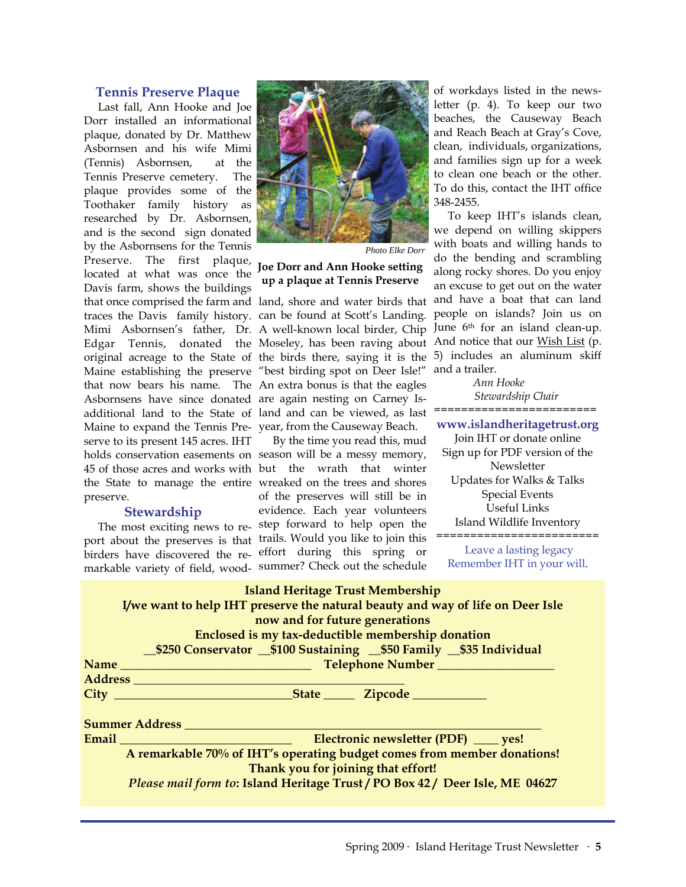#### **Tennis Preserve Plaque**

 Last fall, Ann Hooke and Joe Dorr installed an informational plaque, donated by Dr. Matthew Asbornsen and his wife Mimi (Tennis) Asbornsen, at the Tennis Preserve cemetery. The plaque provides some of the Toothaker family history as researched by Dr. Asbornsen, and is the second sign donated by the Asbornsens for the Tennis Preserve. The first plaque, located at what was once the Davis farm, shows the buildings Asbornsens have since donated are again nesting on Carney Is-Maine to expand the Tennis Pre-year, from the Causeway Beach. serve to its present 145 acres. IHT preserve.

#### **Stewardship**

markable variety of field, wood-summer? Check out the schedule



*Photo Elke Dorr* 

#### **Joe Dorr and Ann Hooke setting up a plaque at Tennis Preserve**

that once comprised the farm and land, shore and water birds that traces the Davis family history. can be found at Scott's Landing. Mimi Asbornsen's father, Dr. A well-known local birder, Chip June 6<sup>th</sup> for an island clean-up. Edgar Tennis, donated the Moseley, has been raving about And notice that our Wish List (p. original acreage to the State of the birds there, saying it is the 5) includes an aluminum skiff Maine establishing the preserve "best birding spot on Deer Isle!" that now bears his name. The An extra bonus is that the eagles additional land to the State of land and can be viewed, as last

holds conservation easements on season will be a messy memory, 45 of those acres and works with but the wrath that winter the State to manage the entire wreaked on the trees and shores The most exciting news to re-step forward to help open the port about the preserves is that trails. Would you like to join this birders have discovered the re-effort during this spring or By the time you read this, mud of the preserves will still be in evidence. Each year volunteers

of workdays listed in the newsletter (p. 4). To keep our two beaches, the Causeway Beach and Reach Beach at Gray's Cove, clean, individuals, organizations, and families sign up for a week to clean one beach or the other. To do this, contact the IHT office 348-2455.

 To keep IHT's islands clean, we depend on willing skippers with boats and willing hands to do the bending and scrambling along rocky shores. Do you enjoy an excuse to get out on the water and have a boat that can land people on islands? Join us on and a trailer.

 *Ann Hooke Stewardship Chair ========================* 

**www.islandheritagetrust.org**  Join IHT or donate online Sign up for PDF version of the Newsletter Updates for Walks & Talks Special Events Useful Links Island Wildlife Inventory ========================

 Leave a lasting legacy Remember IHT in your will.

| <b>Island Heritage Trust Membership</b>                                            |
|------------------------------------------------------------------------------------|
| I/we want to help IHT preserve the natural beauty and way of life on Deer Isle     |
| now and for future generations                                                     |
| Enclosed is my tax-deductible membership donation                                  |
| _\$250 Conservator __\$100 Sustaining __\$50 Family __\$35 Individual              |
|                                                                                    |
|                                                                                    |
|                                                                                    |
| Summer Address <b>Summer</b>                                                       |
| Electronic newsletter (PDF) _____ yes!<br>Email <u>___________________________</u> |
| A remarkable 70% of IHT's operating budget comes from member donations!            |
| Thank you for joining that effort!                                                 |
| Please mail form to: Island Heritage Trust / PO Box 42 / Deer Isle, ME 04627       |
|                                                                                    |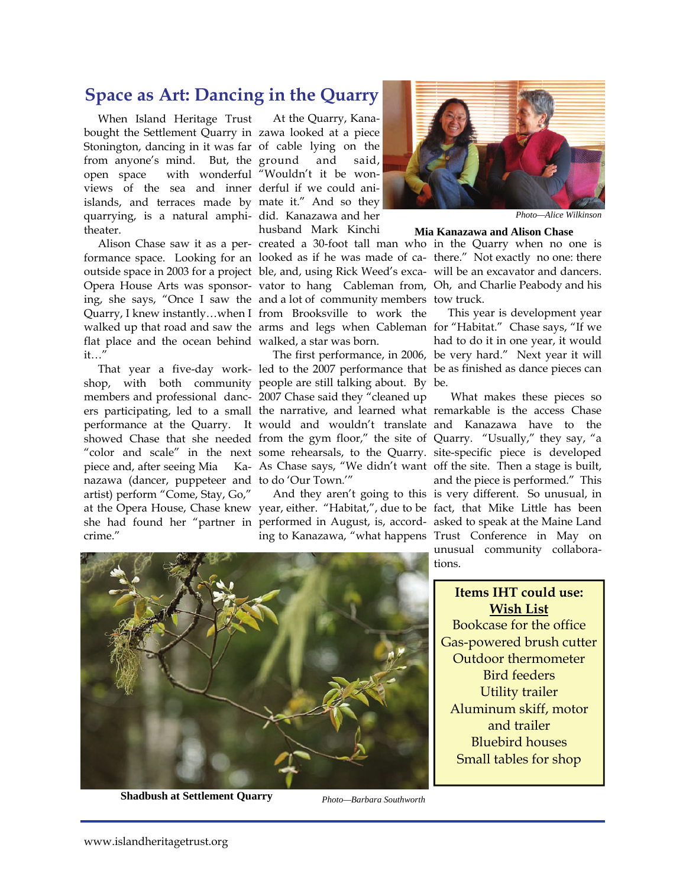## **Space as Art: Dancing in the Quarry**

 When Island Heritage Trust bought the Settlement Quarry in zawa looked at a piece Stonington, dancing in it was far of cable lying on the from anyone's mind. But, the ground and said, open space with wonderful "Wouldn't it be wonviews of the sea and inner derful if we could aniislands, and terraces made by mate it." And so they quarrying, is a natural amphi-did. Kanazawa and her theater.

flat place and the ocean behind walked, a star was born. it…"

nazawa (dancer, puppeteer and to do 'Our Town.'" artist) perform "Come, Stay, Go," crime."

 At the Quarry, Kanahusband Mark Kinchi

ing, she says, "Once I saw the and a lot of community members tow truck. Quarry, I knew instantly…when I from Brooksville to work the walked up that road and saw the arms and legs when Cableman for "Habitat." Chase says, "If we

 That year a five-day work-led to the 2007 performance that be as finished as dance pieces can shop, with both community people are still talking about. By be. members and professional danc-2007 Chase said they "cleaned up ers participating, led to a small the narrative, and learned what remarkable is the access Chase performance at the Quarry. It would and wouldn't translate and Kanazawa have to the showed Chase that she needed from the gym floor," the site of Quarry. "Usually," they say, "a "color and scale" in the next some rehearsals, to the Quarry. site-specific piece is developed piece and, after seeing Mia Ka-As Chase says, "We didn't want off the site. Then a stage is built, The first performance, in 2006, be very hard." Next year it will

at the Opera House, Chase knew year, either. "Habitat,", due to be fact, that Mike Little has been she had found her "partner in performed in August, is, accord-asked to speak at the Maine Land And they aren't going to this is very different. So unusual, in



*Photo—Alice Wilkinson* 

#### **Mia Kanazawa and Alison Chase**

 Alison Chase saw it as a per-created a 30-foot tall man who in the Quarry when no one is formance space. Looking for an looked as if he was made of ca-there." Not exactly no one: there outside space in 2003 for a project ble, and, using Rick Weed's exca-will be an excavator and dancers. Opera House Arts was sponsor-vator to hang Cableman from, Oh, and Charlie Peabody and his

> This year is development year had to do it in one year, it would

ing to Kanazawa, "what happens Trust Conference in May on What makes these pieces so and the piece is performed." This unusual community collaborations.

> **Items IHT could use: Wish List** Bookcase for the office Gas-powered brush cutter Outdoor thermometer Bird feeders Utility trailer Aluminum skiff, motor and trailer Bluebird houses Small tables for shop



**Shadbush at Settlement Quarry** 

*Photo—Barbara Southworth*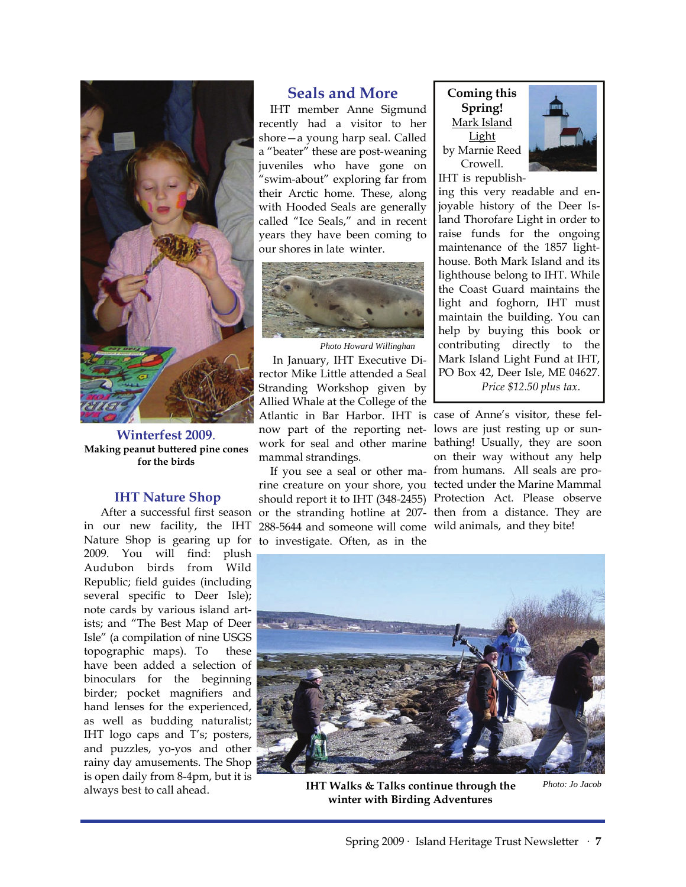

**Winterfest 2009**. **Making peanut buttered pine cones for the birds** 

#### **IHT Nature Shop**

in our new facility, the IHT Nature Shop is gearing up for to investigate. Often, as in the 2009. You will find: plush Audubon birds from Wild Republic; field guides (including several specific to Deer Isle); note cards by various island artists; and "The Best Map of Deer Isle" (a compilation of nine USGS topographic maps). To these have been added a selection of binoculars for the beginning birder; pocket magnifiers and hand lenses for the experienced, as well as budding naturalist; IHT logo caps and T's; posters, and puzzles, yo-yos and other rainy day amusements. The Shop is open daily from 8-4pm, but it is always best to call ahead.

### **Seals and More**

 IHT member Anne Sigmund recently had a visitor to her shore—a young harp seal. Called a "beater" these are post-weaning juveniles who have gone on "swim-about" exploring far from their Arctic home. These, along with Hooded Seals are generally called "Ice Seals," and in recent years they have been coming to our shores in late winter.



 In January, IHT Executive Director Mike Little attended a Seal Stranding Workshop given by Allied Whale at the College of the Atlantic in Bar Harbor. IHT is case of Anne's visitor, these felnow part of the reporting net-lows are just resting up or sunwork for seal and other marine bathing! Usually, they are soon mammal strandings. *Photo Howard Willinghan* 

After a successful first season or the stranding hotline at 207- then from a distance. They are rine creature on your shore, you tected under the Marine Mammal should report it to IHT (348-2455) Protection Act. Please observe 288-5644 and someone will come wild animals, and they bite!

**Coming this Spring!**  Mark Island Light by Marnie Reed Crowell.



ing this very readable and enjoyable history of the Deer Island Thorofare Light in order to raise funds for the ongoing maintenance of the 1857 lighthouse. Both Mark Island and its lighthouse belong to IHT. While the Coast Guard maintains the light and foghorn, IHT must maintain the building. You can help by buying this book or contributing directly to the Mark Island Light Fund at IHT, PO Box 42, Deer Isle, ME 04627. *Price \$12.50 plus tax*.

 If you see a seal or other ma-from humans. All seals are proon their way without any help



 **IHT Walks & Talks continue through the winter with Birding Adventures** 

*Photo: Jo Jacob*